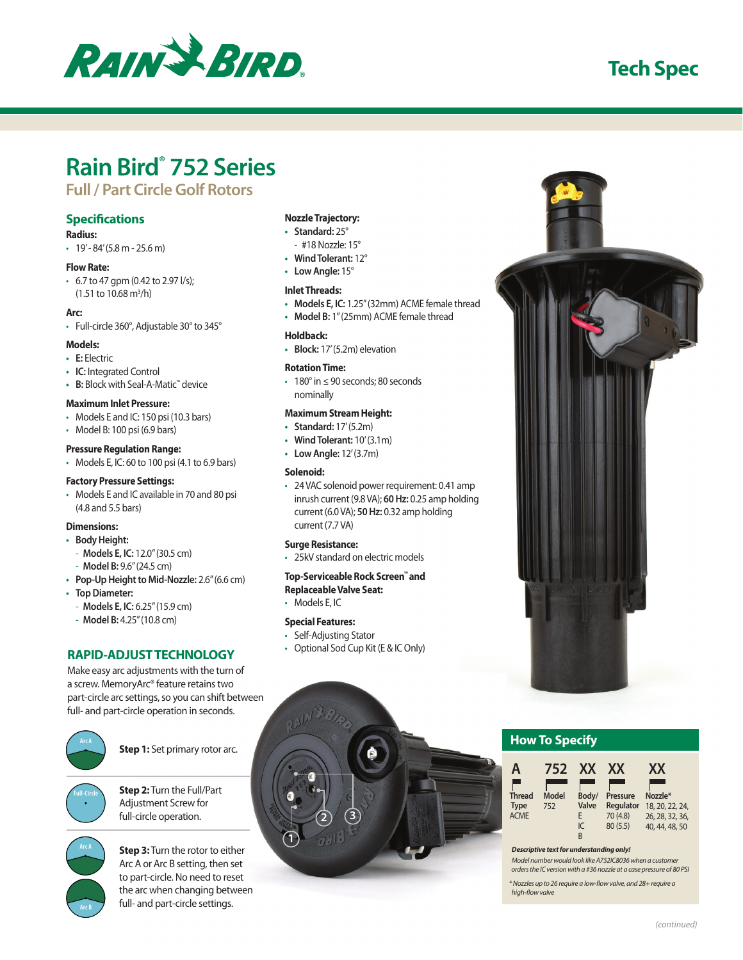

## **Tech Spec**

# **Rain Bird® 752 Series**

## **Full / Part Circle Golf Rotors**

#### **Specifications**

#### **Radius:**

 $\cdot$  19' - 84' (5.8 m - 25.6 m)

#### **Flow Rate:**

• 6.7 to 47 gpm (0.42 to 2.97 l/s);  $(1.51 to 10.68 m<sup>3</sup>/h)$ 

#### **Arc:**

• Full-circle 360°, Adjustable 30° to 345°

#### **Models:**

- **• E:** Electric
- **• IC:** Integrated Control
- **• B:** Block with Seal-A-Matic™ device

#### **Maximum Inlet Pressure:**

- Models E and IC: 150 psi (10.3 bars)
- Model B: 100 psi (6.9 bars)

#### **Pressure Regulation Range:**

• Models E, IC: 60 to 100 psi (4.1 to 6.9 bars)

#### **Factory Pressure Settings:**

• Models E and IC available in 70 and 80 psi (4.8 and 5.5 bars)

#### **Dimensions:**

- **• Body Height:**
	- **Models E, IC:** 12.0" (30.5 cm)
	- **Model B:** 9.6" (24.5 cm)
- **• Pop-Up Height to Mid-Nozzle:** 2.6" (6.6 cm)
- **• Top Diameter:**
- **Models E, IC:** 6.25" (15.9 cm)
- **Model B:** 4.25" (10.8 cm)

## **RAPID-ADJUST TECHNOLOGY**

Make easy arc adjustments with the turn of a screw. MemoryArc® feature retains two part-circle arc settings, so you can shift between full- and part-circle operation in seconds.



**Step 1:** Set primary rotor arc.



**Step 2:** Turn the Full/Part Adjustment Screw for full-circle operation.



**Step 3:** Turn the rotor to either Arc A or Arc B setting, then set to part-circle. No need to reset the arc when changing between full- and part-circle settings.

#### **Nozzle Trajectory:**

- **• Standard:** 25°
- #18 Nozzle: 15°
- **• Wind Tolerant:** 12°
- **• Low Angle:** 15°

#### **Inlet Threads:**

- **• Models E, IC:** 1.25" (32mm) ACME female thread
- **• Model B:** 1" (25mm) ACME female thread

#### **Holdback:**

**• Block:** 17' (5.2m) elevation

#### **Rotation Time:**

• 180° in ≤ 90 seconds; 80 seconds nominally

#### **Maximum Stream Height:**

- **• Standard:** 17' (5.2m)
- **• Wind Tolerant:** 10' (3.1m)
- **• Low Angle:** 12' (3.7m)

#### **Solenoid:**

• 24 VAC solenoid power requirement: 0.41 amp inrush current (9.8 VA); **60 Hz:** 0.25 amp holding current (6.0 VA); **50 Hz:** 0.32 amp holding current (7.7 VA)

#### **Surge Resistance:**

• 25kV standard on electric models

#### **Top-Serviceable Rock Screen™ and Replaceable Valve Seat:**

• Models E, IC

#### **Special Features:**

**1**

- Self-Adjusting Stator
- Optional Sod Cup Kit (E & IC Only)

**3**

**2**

## **How To Specify**

| A                                           | 752          | <b>XX</b>                      | XX                                            | XX                                                              |
|---------------------------------------------|--------------|--------------------------------|-----------------------------------------------|-----------------------------------------------------------------|
| <b>Thread</b><br><b>Type</b><br><b>ACME</b> | Model<br>752 | Body/<br>Valve<br>F<br>IC<br>В | Pressure<br>Regulator<br>70 (4.8)<br>80 (5.5) | Nozzle*<br>18, 20, 22, 24,<br>26, 28, 32, 36,<br>40, 44, 48, 50 |

*Descriptive text for understanding only!*

*Model number would look like A752IC8036 when a customer orders the IC version with a #36 nozzle at a case pressure of 80 PSI*

*\* Nozzles up to 26 require a low-flow valve, and 28+ require a high-flow valve*